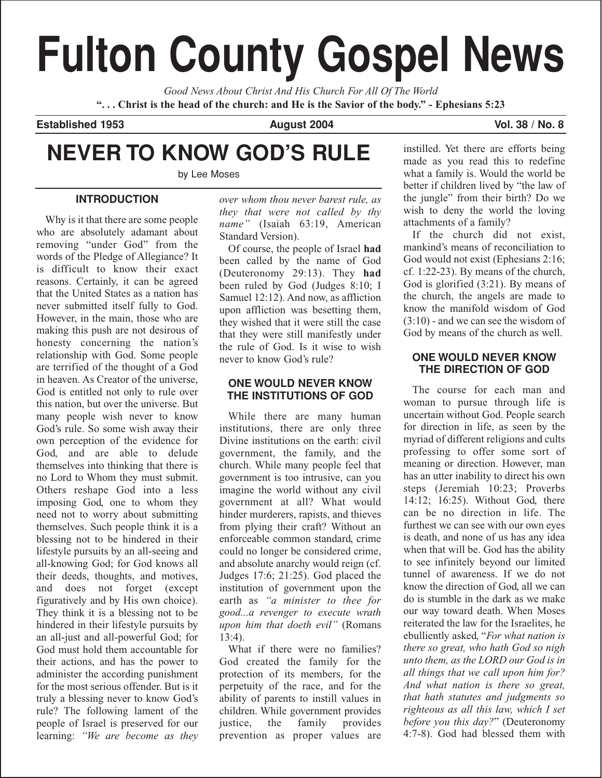# **Fulton County Gospel News**

*Good News About Christ And His Church For All Of The World* **". . . Christ is the head of the church: and He is the Savior of the body." - Ephesians 5:23**

**Established 1953 August 2004 Vol. 38 / No. 8**

# **NEVER TO KNOW GOD'S RULE**

by Lee Moses

## **INTRODUCTION**

Why is it that there are some people who are absolutely adamant about removing "under God" from the words of the Pledge of Allegiance? It is difficult to know their exact reasons. Certainly, it can be agreed that the United States as a nation has never submitted itself fully to God. However, in the main, those who are making this push are not desirous of honesty concerning the nation's relationship with God. Some people are terrified of the thought of a God in heaven. As Creator of the universe, God is entitled not only to rule over this nation, but over the universe. But many people wish never to know God's rule. So some wish away their own perception of the evidence for God, and are able to delude themselves into thinking that there is no Lord to Whom they must submit. Others reshape God into a less imposing God, one to whom they need not to worry about submitting themselves. Such people think it is a blessing not to be hindered in their lifestyle pursuits by an all-seeing and all-knowing God; for God knows all their deeds, thoughts, and motives, and does not forget (except figuratively and by His own choice). They think it is a blessing not to be hindered in their lifestyle pursuits by an all-just and all-powerful God; for God must hold them accountable for their actions, and has the power to administer the according punishment for the most serious offender. But is it truly a blessing never to know God's rule? The following lament of the people of Israel is preserved for our learning: *"We are become as they* *over whom thou never barest rule, as they that were not called by thy name"* (Isaiah 63:19, American Standard Version).

Of course, the people of Israel **had** been called by the name of God (Deuteronomy 29:13). They **had** been ruled by God (Judges 8:10; I Samuel 12:12). And now, as affliction upon affliction was besetting them, they wished that it were still the case that they were still manifestly under the rule of God. Is it wise to wish never to know God's rule?

## **ONE WOULD NEVER KNOW THE INSTITUTIONS OF GOD**

While there are many human institutions, there are only three Divine institutions on the earth: civil government, the family, and the church. While many people feel that government is too intrusive, can you imagine the world without any civil government at all? What would hinder murderers, rapists, and thieves from plying their craft? Without an enforceable common standard, crime could no longer be considered crime, and absolute anarchy would reign (cf. Judges 17:6; 21:25). God placed the institution of government upon the earth as *"a minister to thee for good...a revenger to execute wrath upon him that doeth evil"* (Romans 13:4).

What if there were no families? God created the family for the protection of its members, for the perpetuity of the race, and for the ability of parents to instill values in children. While government provides<br>justice, the family provides the family provides prevention as proper values are

instilled. Yet there are efforts being made as you read this to redefine what a family is. Would the world be better if children lived by "the law of the jungle" from their birth? Do we wish to deny the world the loving attachments of a family?

If the church did not exist, mankind's means of reconciliation to God would not exist (Ephesians 2:16; cf. 1:22-23). By means of the church, God is glorified (3:21). By means of the church, the angels are made to know the manifold wisdom of God (3:10) - and we can see the wisdom of God by means of the church as well.

## **ONE WOULD NEVER KNOW THE DIRECTION OF GOD**

The course for each man and woman to pursue through life is uncertain without God. People search for direction in life, as seen by the myriad of different religions and cults professing to offer some sort of meaning or direction. However, man has an utter inability to direct his own steps (Jeremiah 10:23; Proverbs 14:12; 16:25). Without God, there can be no direction in life. The furthest we can see with our own eyes is death, and none of us has any idea when that will be. God has the ability to see infinitely beyond our limited tunnel of awareness. If we do not know the direction of God, all we can do is stumble in the dark as we make our way toward death. When Moses reiterated the law for the Israelites, he ebulliently asked, "*For what nation is there so great, who hath God so nigh unto them, as the LORD our God is in all things that we call upon him for? And what nation is there so great, that hath statutes and judgments so righteous as all this law, which I set before you this day?*" (Deuteronomy 4:7-8). God had blessed them with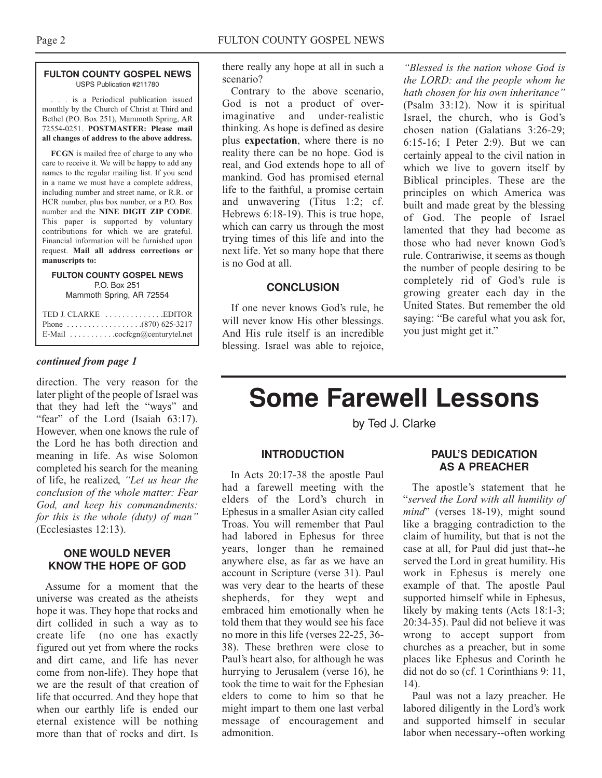#### **FULTON COUNTY GOSPEL NEWS** USPS Publication #211780

. . . is a Periodical publication issued monthly by the Church of Christ at Third and Bethel (P.O. Box 251), Mammoth Spring, AR 72554-0251. **POSTMASTER: Please mail all changes of address to the above address.**

**FCGN** is mailed free of charge to any who care to receive it. We will be happy to add any names to the regular mailing list. If you send in a name we must have a complete address, including number and street name, or R.R. or HCR number, plus box number, or a P.O. Box number and the **NINE DIGIT ZIP CODE**. This paper is supported by voluntary contributions for which we are grateful. Financial information will be furnished upon request. **Mail all address corrections or manuscripts to:**

#### **FULTON COUNTY GOSPEL NEWS** P.O. Box 251 Mammoth Spring, AR 72554

| TED J. CLARKE EDITOR          |
|-------------------------------|
|                               |
| E-Mail cocfcgn@centurytel.net |

#### *continued from page 1*

direction. The very reason for the later plight of the people of Israel was that they had left the "ways" and "fear" of the Lord (Isaiah 63:17). However, when one knows the rule of the Lord he has both direction and meaning in life. As wise Solomon completed his search for the meaning of life, he realized, *"Let us hear the conclusion of the whole matter: Fear God, and keep his commandments: for this is the whole (duty) of man"* (Ecclesiastes 12:13).

#### **ONE WOULD NEVER KNOW THE HOPE OF GOD**

Assume for a moment that the universe was created as the atheists hope it was. They hope that rocks and dirt collided in such a way as to create life (no one has exactly figured out yet from where the rocks and dirt came, and life has never come from non-life). They hope that we are the result of that creation of life that occurred. And they hope that when our earthly life is ended our eternal existence will be nothing more than that of rocks and dirt. Is

there really any hope at all in such a scenario?

Contrary to the above scenario, God is not a product of overimaginative and under-realistic thinking. As hope is defined as desire plus **expectation**, where there is no reality there can be no hope. God is real, and God extends hope to all of mankind. God has promised eternal life to the faithful, a promise certain and unwavering (Titus 1:2; cf. Hebrews 6:18-19). This is true hope, which can carry us through the most trying times of this life and into the next life. Yet so many hope that there is no God at all.

#### **CONCLUSION**

If one never knows God's rule, he will never know His other blessings. And His rule itself is an incredible blessing. Israel was able to rejoice,

*"Blessed is the nation whose God is the LORD: and the people whom he hath chosen for his own inheritance"* (Psalm 33:12). Now it is spiritual Israel, the church, who is God's chosen nation (Galatians 3:26-29; 6:15-16; I Peter 2:9). But we can certainly appeal to the civil nation in which we live to govern itself by Biblical principles. These are the principles on which America was built and made great by the blessing of God. The people of Israel lamented that they had become as those who had never known God's rule. Contrariwise, it seems as though the number of people desiring to be completely rid of God's rule is growing greater each day in the United States. But remember the old saying: "Be careful what you ask for, you just might get it."

# **Some Farewell Lessons**

by Ted J. Clarke

#### **INTRODUCTION**

In Acts 20:17-38 the apostle Paul had a farewell meeting with the elders of the Lord's church in Ephesus in a smaller Asian city called Troas. You will remember that Paul had labored in Ephesus for three years, longer than he remained anywhere else, as far as we have an account in Scripture (verse 31). Paul was very dear to the hearts of these shepherds, for they wept and embraced him emotionally when he told them that they would see his face no more in this life (verses 22-25, 36- 38). These brethren were close to Paul's heart also, for although he was hurrying to Jerusalem (verse 16), he took the time to wait for the Ephesian elders to come to him so that he might impart to them one last verbal message of encouragement and admonition.

#### **PAUL'S DEDICATION AS A PREACHER**

The apostle's statement that he "*served the Lord with all humility of mind*" (verses 18-19), might sound like a bragging contradiction to the claim of humility, but that is not the case at all, for Paul did just that--he served the Lord in great humility. His work in Ephesus is merely one example of that. The apostle Paul supported himself while in Ephesus, likely by making tents (Acts 18:1-3; 20:34-35). Paul did not believe it was wrong to accept support from churches as a preacher, but in some places like Ephesus and Corinth he did not do so (cf. 1 Corinthians 9: 11, 14).

Paul was not a lazy preacher. He labored diligently in the Lord's work and supported himself in secular labor when necessary--often working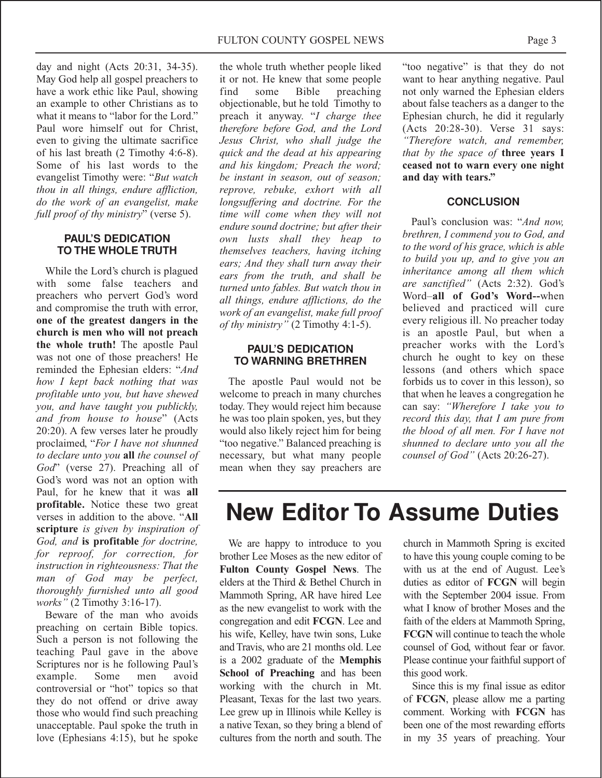day and night (Acts 20:31, 34-35). May God help all gospel preachers to have a work ethic like Paul, showing an example to other Christians as to what it means to "labor for the Lord." Paul wore himself out for Christ, even to giving the ultimate sacrifice of his last breath (2 Timothy 4:6-8). Some of his last words to the evangelist Timothy were: "*But watch thou in all things, endure affliction, do the work of an evangelist, make full proof of thy ministry*" (verse 5).

#### **PAUL'S DEDICATION TO THE WHOLE TRUTH**

While the Lord's church is plagued with some false teachers and preachers who pervert God's word and compromise the truth with error, **one of the greatest dangers in the church is men who will not preach the whole truth!** The apostle Paul was not one of those preachers! He reminded the Ephesian elders: "*And how I kept back nothing that was profitable unto you, but have shewed you, and have taught you publickly, and from house to house*" (Acts 20:20). A few verses later he proudly proclaimed, "*For I have not shunned to declare unto you* **all** *the counsel of God*" (verse 27). Preaching all of God's word was not an option with Paul, for he knew that it was **all profitable.** Notice these two great verses in addition to the above. "**All scripture** *is given by inspiration of God, and* **is profitable** *for doctrine, for reproof, for correction, for instruction in righteousness: That the man of God may be perfect, thoroughly furnished unto all good works"* (2 Timothy 3:16-17).

Beware of the man who avoids preaching on certain Bible topics. Such a person is not following the teaching Paul gave in the above Scriptures nor is he following Paul's example. Some men avoid controversial or "hot" topics so that they do not offend or drive away those who would find such preaching unacceptable. Paul spoke the truth in love (Ephesians 4:15), but he spoke

the whole truth whether people liked it or not. He knew that some people find some Bible preaching objectionable, but he told Timothy to preach it anyway. "*I charge thee therefore before God, and the Lord Jesus Christ, who shall judge the quick and the dead at his appearing and his kingdom; Preach the word; be instant in season, out of season; reprove, rebuke, exhort with all longsuffering and doctrine. For the time will come when they will not endure sound doctrine; but after their own lusts shall they heap to themselves teachers, having itching ears; And they shall turn away their ears from the truth, and shall be turned unto fables. But watch thou in all things, endure afflictions, do the work of an evangelist, make full proof of thy ministry"* (2 Timothy 4:1-5).

#### **PAUL'S DEDICATION TO WARNING BRETHREN**

The apostle Paul would not be welcome to preach in many churches today. They would reject him because he was too plain spoken, yes, but they would also likely reject him for being "too negative." Balanced preaching is necessary, but what many people mean when they say preachers are

"too negative" is that they do not want to hear anything negative. Paul not only warned the Ephesian elders about false teachers as a danger to the Ephesian church, he did it regularly (Acts 20:28-30). Verse 31 says: *"Therefore watch, and remember, that by the space of* **three years I ceased not to warn every one night and day with tears."**

#### **CONCLUSION**

Paul's conclusion was: "*And now, brethren, I commend you to God, and to the word of his grace, which is able to build you up, and to give you an inheritance among all them which are sanctified"* (Acts 2:32). God's Word–**all of God's Word--**when believed and practiced will cure every religious ill. No preacher today is an apostle Paul, but when a preacher works with the Lord's church he ought to key on these lessons (and others which space forbids us to cover in this lesson), so that when he leaves a congregation he can say: *"Wherefore I take you to record this day, that I am pure from the blood of all men. For I have not shunned to declare unto you all the counsel of God"* (Acts 20:26-27).

# **New Editor To Assume Duties**

We are happy to introduce to you brother Lee Moses as the new editor of **Fulton County Gospel News**. The elders at the Third & Bethel Church in Mammoth Spring, AR have hired Lee as the new evangelist to work with the congregation and edit **FCGN**. Lee and his wife, Kelley, have twin sons, Luke and Travis, who are 21 months old. Lee is a 2002 graduate of the **Memphis School of Preaching** and has been working with the church in Mt. Pleasant, Texas for the last two years. Lee grew up in Illinois while Kelley is a native Texan, so they bring a blend of cultures from the north and south. The

church in Mammoth Spring is excited to have this young couple coming to be with us at the end of August. Lee's duties as editor of **FCGN** will begin with the September 2004 issue. From what I know of brother Moses and the faith of the elders at Mammoth Spring, **FCGN** will continue to teach the whole counsel of God, without fear or favor. Please continue your faithful support of this good work.

Since this is my final issue as editor of **FCGN**, please allow me a parting comment. Working with **FCGN** has been one of the most rewarding efforts in my 35 years of preaching. Your